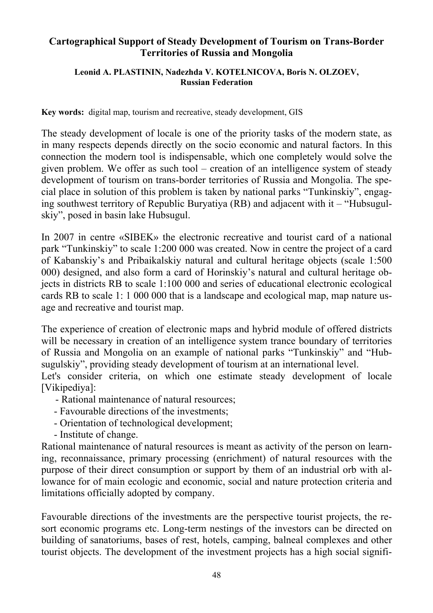## **Cartographical Support of Steady Development of Tourism on Trans-Border Territories of Russia and Mongolia**

## **Leonid A. PLASTININ, Nadezhda V. KOTELNICOVA, Boris N. OLZOEV, Russian Federation**

**Key words:** digital map, tourism and recreative, steady development, GIS

The steady development of locale is one of the priority tasks of the modern state, as in many respects depends directly on the socio economic and natural factors. In this connection the modern tool is indispensable, which one completely would solve the given problem. We offer as such tool – creation of an intelligence system of steady development of tourism on trans-border territories of Russia and Mongolia. The special place in solution of this problem is taken by national parks "Tunkinskiy", engaging southwest territory of Republic Buryatiya (RB) and adjacent with it – "Hubsugulskiy", posed in basin lake Hubsugul.

In 2007 in centre «SIBEK» the electronic recreative and tourist card of a national park "Tunkinskiy" to scale 1:200 000 was created. Now in centre the project of a card of Kabanskiy's and Pribaikalskiy natural and cultural heritage objects (scale 1:500 000) designed, and also form a card of Horinskiy's natural and cultural heritage objects in districts RB to scale 1:100 000 and series of educational electronic ecological cards RB to scale 1: 1 000 000 that is a landscape and ecological map, map nature usage and recreative and tourist map.

The experience of creation of electronic maps and hybrid module of offered districts will be necessary in creation of an intelligence system trance boundary of territories of Russia and Mongolia on an example of national parks "Tunkinskiy" and "Hubsugulskiy", providing steady development of tourism at an international level.

Let's consider criteria, on which one estimate steady development of locale [Vikipediya]:

- Rational maintenance of natural resources;
- Favourable directions of the investments;
- Orientation of technological development;
- Institute of change.

Rational maintenance of natural resources is meant as activity of the person on learning, reconnaissance, primary processing (enrichment) of natural resources with the purpose of their direct consumption or support by them of an industrial orb with allowance for of main ecologic and economic, social and nature protection criteria and limitations officially adopted by company.

Favourable directions of the investments are the perspective tourist projects, the resort economic programs etc. Long-term nestings of the investors can be directed on building of sanatoriums, bases of rest, hotels, camping, balneal complexes and other tourist objects. The development of the investment projects has a high social signifi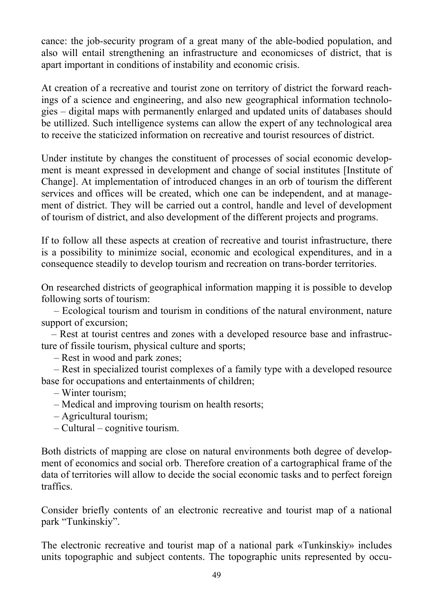cance: the job-security program of a great many of the able-bodied population, and also will entail strengthening an infrastructure and economicses of district, that is apart important in conditions of instability and economic crisis.

At creation of a recreative and tourist zone on territory of district the forward reachings of a science and engineering, and also new geographical information technologies – digital maps with permanently enlarged and updated units of databases should be utillized. Such intelligence systems can allow the expert of any technological area to receive the staticized information on recreative and tourist resources of district.

Under institute by changes the constituent of processes of social economic development is meant expressed in development and change of social institutes [Institute of Change]. At implementation of introduced changes in an orb of tourism the different services and offices will be created, which one can be independent, and at management of district. They will be carried out a control, handle and level of development of tourism of district, and also development of the different projects and programs.

If to follow all these aspects at creation of recreative and tourist infrastructure, there is a possibility to minimize social, economic and ecological expenditures, and in a consequence steadily to develop tourism and recreation on trans-border territories.

On researched districts of geographical information mapping it is possible to develop following sorts of tourism:

 – Ecological tourism and tourism in conditions of the natural environment, nature support of excursion;

 – Rest at tourist centres and zones with a developed resource base and infrastructure of fissile tourism, physical culture and sports;

– Rest in wood and park zones;

 – Rest in specialized tourist complexes of a family type with a developed resource base for occupations and entertainments of children;

– Winter tourism;

- Medical and improving tourism on health resorts;
- Agricultural tourism;
- Cultural cognitive tourism.

Both districts of mapping are close on natural environments both degree of development of economics and social orb. Therefore creation of a cartographical frame of the data of territories will allow to decide the social economic tasks and to perfect foreign traffics.

Consider briefly contents of an electronic recreative and tourist map of a national park "Tunkinskiy".

The electronic recreative and tourist map of a national park «Tunkinskiy» includes units topographic and subject contents. The topographic units represented by occu-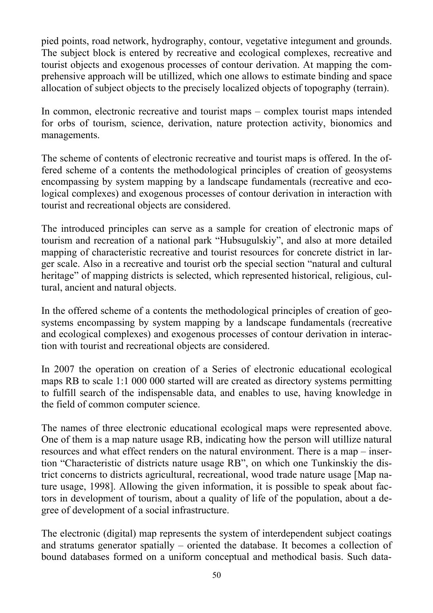pied points, road network, hydrography, contour, vegetative integument and grounds. The subject block is entered by recreative and ecological complexes, recreative and tourist objects and exogenous processes of contour derivation. At mapping the comprehensive approach will be utillized, which one allows to estimate binding and space allocation of subject objects to the precisely localized objects of topography (terrain).

In common, electronic recreative and tourist maps – complex tourist maps intended for orbs of tourism, science, derivation, nature protection activity, bionomics and managements.

The scheme of contents of electronic recreative and tourist maps is offered. In the offered scheme of a contents the methodological principles of creation of geosystems encompassing by system mapping by a landscape fundamentals (recreative and ecological complexes) and exogenous processes of contour derivation in interaction with tourist and recreational objects are considered.

The introduced principles can serve as a sample for creation of electronic maps of tourism and recreation of a national park "Hubsugulskiy", and also at more detailed mapping of characteristic recreative and tourist resources for concrete district in larger scale. Also in a recreative and tourist orb the special section "natural and cultural heritage" of mapping districts is selected, which represented historical, religious, cultural, ancient and natural objects.

In the offered scheme of a contents the methodological principles of creation of geosystems encompassing by system mapping by a landscape fundamentals (recreative and ecological complexes) and exogenous processes of contour derivation in interaction with tourist and recreational objects are considered.

In 2007 the operation on creation of a Series of electronic educational ecological maps RB to scale 1:1 000 000 started will are created as directory systems permitting to fulfill search of the indispensable data, and enables to use, having knowledge in the field of common computer science.

The names of three electronic educational ecological maps were represented above. One of them is a map nature usage RB, indicating how the person will utillize natural resources and what effect renders on the natural environment. There is a map – insertion "Characteristic of districts nature usage RB", on which one Tunkinskiy the district concerns to districts agricultural, recreational, wood trade nature usage [Map nature usage, 1998]. Allowing the given information, it is possible to speak about factors in development of tourism, about a quality of life of the population, about a degree of development of a social infrastructure.

The electronic (digital) map represents the system of interdependent subject coatings and stratums generator spatially – oriented the database. It becomes a collection of bound databases formed on a uniform conceptual and methodical basis. Such data-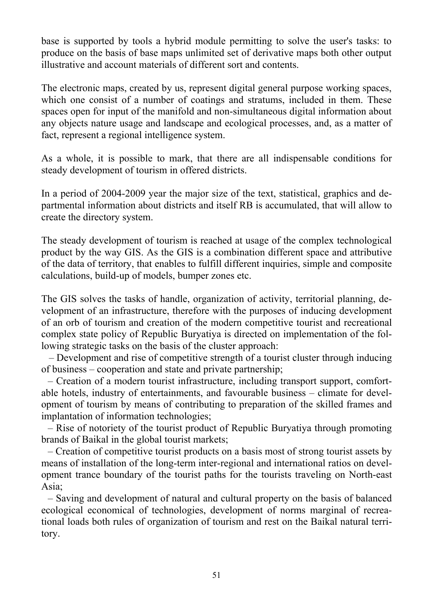base is supported by tools a hybrid module permitting to solve the user's tasks: to produce on the basis of base maps unlimited set of derivative maps both other output illustrative and account materials of different sort and contents.

The electronic maps, created by us, represent digital general purpose working spaces, which one consist of a number of coatings and stratums, included in them. These spaces open for input of the manifold and non-simultaneous digital information about any objects nature usage and landscape and ecological processes, and, as a matter of fact, represent a regional intelligence system.

As a whole, it is possible to mark, that there are all indispensable conditions for steady development of tourism in offered districts.

In a period of 2004-2009 year the major size of the text, statistical, graphics and departmental information about districts and itself RB is accumulated, that will allow to create the directory system.

The steady development of tourism is reached at usage of the complex technological product by the way GIS. As the GIS is a combination different space and attributive of the data of territory, that enables to fulfill different inquiries, simple and composite calculations, build-up of models, bumper zones etc.

The GIS solves the tasks of handle, organization of activity, territorial planning, development of an infrastructure, therefore with the purposes of inducing development of an orb of tourism and creation of the modern competitive tourist and recreational complex state policy of Republic Buryatiya is directed on implementation of the following strategic tasks on the basis of the cluster approach:

 – Development and rise of competitive strength of a tourist cluster through inducing of business – cooperation and state and private partnership;

 – Creation of a modern tourist infrastructure, including transport support, comfortable hotels, industry of entertainments, and favourable business – climate for development of tourism by means of contributing to preparation of the skilled frames and implantation of information technologies;

 – Rise of notoriety of the tourist product of Republic Buryatiya through promoting brands of Baikal in the global tourist markets;

 – Creation of competitive tourist products on a basis most of strong tourist assets by means of installation of the long-term inter-regional and international ratios on development trance boundary of the tourist paths for the tourists traveling on North-east Asia;

 – Saving and development of natural and cultural property on the basis of balanced ecological economical of technologies, development of norms marginal of recreational loads both rules of organization of tourism and rest on the Baikal natural territory.